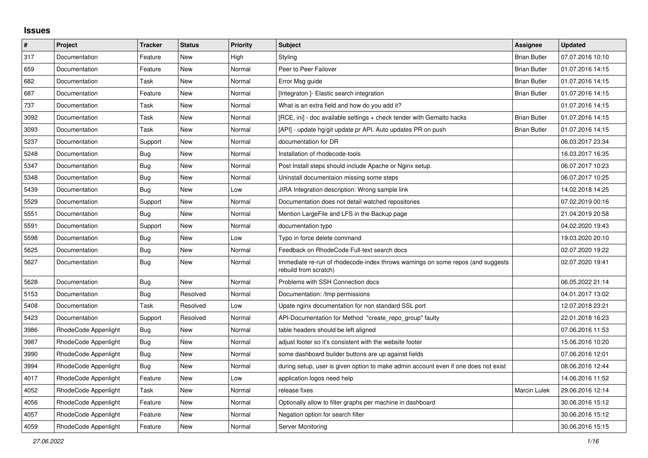## **Issues**

| $\vert$ # | Project              | Tracker    | <b>Status</b> | <b>Priority</b> | <b>Subject</b>                                                                                           | Assignee            | <b>Updated</b>   |
|-----------|----------------------|------------|---------------|-----------------|----------------------------------------------------------------------------------------------------------|---------------------|------------------|
| 317       | Documentation        | Feature    | New           | High            | Styling                                                                                                  | <b>Brian Butler</b> | 07.07.2016 10:10 |
| 659       | Documentation        | Feature    | New           | Normal          | Peer to Peer Failover                                                                                    | <b>Brian Butler</b> | 01.07.2016 14:15 |
| 682       | Documentation        | Task       | New           | Normal          | Error Msg guide                                                                                          | <b>Brian Butler</b> | 01.07.2016 14:15 |
| 687       | Documentation        | Feature    | <b>New</b>    | Normal          | [Integraton] - Elastic search integration                                                                | <b>Brian Butler</b> | 01.07.2016 14:15 |
| 737       | Documentation        | Task       | <b>New</b>    | Normal          | What is an extra field and how do you add it?                                                            |                     | 01.07.2016 14:15 |
| 3092      | Documentation        | Task       | New           | Normal          | [RCE, ini] - doc available settings + check tender with Gemalto hacks                                    | <b>Brian Butler</b> | 01.07.2016 14:15 |
| 3093      | Documentation        | Task       | New           | Normal          | [API] - update hg/git update pr API. Auto updates PR on push                                             | <b>Brian Butler</b> | 01.07.2016 14:15 |
| 5237      | Documentation        | Support    | New           | Normal          | documentation for DR                                                                                     |                     | 06.03.2017 23:34 |
| 5248      | Documentation        | Bug        | <b>New</b>    | Normal          | Installation of rhodecode-tools                                                                          |                     | 16.03.2017 16:35 |
| 5347      | Documentation        | Bug        | New           | Normal          | Post Install steps should include Apache or Nginx setup.                                                 |                     | 06.07.2017 10:23 |
| 5348      | Documentation        | <b>Bug</b> | New           | Normal          | Uninstall documentaion missing some steps                                                                |                     | 06.07.2017 10:25 |
| 5439      | Documentation        | Bug        | New           | Low             | JIRA Integration description: Wrong sample link                                                          |                     | 14.02.2018 14:25 |
| 5529      | Documentation        | Support    | New           | Normal          | Documentation does not detail watched repositories                                                       |                     | 07.02.2019 00:16 |
| 5551      | Documentation        | Bug        | <b>New</b>    | Normal          | Mention LargeFile and LFS in the Backup page                                                             |                     | 21.04.2019 20:58 |
| 5591      | Documentation        | Support    | <b>New</b>    | Normal          | documentation typo                                                                                       |                     | 04.02.2020 19:43 |
| 5598      | Documentation        | Bug        | <b>New</b>    | Low             | Typo in force delete command                                                                             |                     | 19.03.2020 20:10 |
| 5625      | Documentation        | Bug        | New           | Normal          | Feedback on RhodeCode Full-text search docs                                                              |                     | 02.07.2020 19:22 |
| 5627      | Documentation        | Bug        | New           | Normal          | Immediate re-run of rhodecode-index throws warnings on some repos (and suggests<br>rebuild from scratch) |                     | 02.07.2020 19:41 |
| 5628      | Documentation        | <b>Bug</b> | New           | Normal          | Problems with SSH Connection docs                                                                        |                     | 06.05.2022 21:14 |
| 5153      | Documentation        | Bug        | Resolved      | Normal          | Documentation: /tmp permissions                                                                          |                     | 04.01.2017 13:02 |
| 5408      | Documentation        | Task       | Resolved      | Low             | Upate nginx documentation for non standard SSL port                                                      |                     | 12.07.2018 23:21 |
| 5423      | Documentation        | Support    | Resolved      | Normal          | API-Documentation for Method "create_repo_group" faulty                                                  |                     | 22.01.2018 16:23 |
| 3986      | RhodeCode Appenlight | <b>Bug</b> | New           | Normal          | table headers should be left aligned                                                                     |                     | 07.06.2016 11:53 |
| 3987      | RhodeCode Appenlight | Bug        | New           | Normal          | adjust footer so it's consistent with the website footer                                                 |                     | 15.06.2016 10:20 |
| 3990      | RhodeCode Appenlight | <b>Bug</b> | New           | Normal          | some dashboard builder buttons are up against fields                                                     |                     | 07.06.2016 12:01 |
| 3994      | RhodeCode Appenlight | <b>Bug</b> | New           | Normal          | during setup, user is given option to make admin account even if one does not exist                      |                     | 08.06.2016 12:44 |
| 4017      | RhodeCode Appenlight | Feature    | <b>New</b>    | Low             | application logos need help                                                                              |                     | 14.06.2016 11:52 |
| 4052      | RhodeCode Appenlight | Task       | New           | Normal          | release fixes                                                                                            | Marcin Lulek        | 29.06.2016 12:14 |
| 4056      | RhodeCode Appenlight | Feature    | New           | Normal          | Optionally allow to filter graphs per machine in dashboard                                               |                     | 30.06.2016 15:12 |
| 4057      | RhodeCode Appenlight | Feature    | New           | Normal          | Negation option for search filter                                                                        |                     | 30.06.2016 15:12 |
| 4059      | RhodeCode Appenlight | Feature    | <b>New</b>    | Normal          | Server Monitoring                                                                                        |                     | 30.06.2016 15:15 |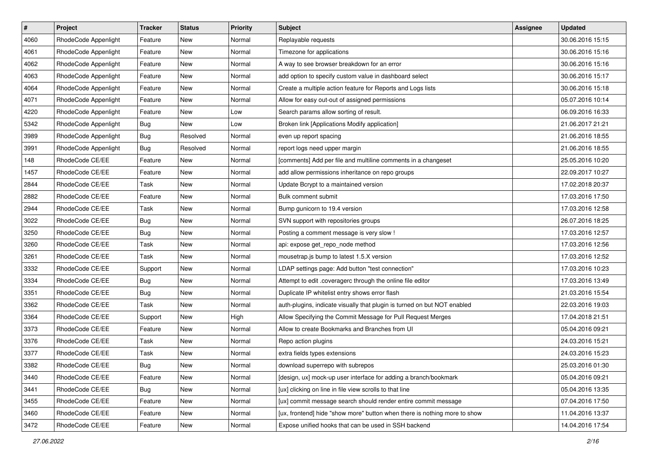| $\vert$ # | Project              | Tracker    | <b>Status</b> | <b>Priority</b> | <b>Subject</b>                                                            | <b>Assignee</b> | <b>Updated</b>   |
|-----------|----------------------|------------|---------------|-----------------|---------------------------------------------------------------------------|-----------------|------------------|
| 4060      | RhodeCode Appenlight | Feature    | New           | Normal          | Replayable requests                                                       |                 | 30.06.2016 15:15 |
| 4061      | RhodeCode Appenlight | Feature    | New           | Normal          | Timezone for applications                                                 |                 | 30.06.2016 15:16 |
| 4062      | RhodeCode Appenlight | Feature    | New           | Normal          | A way to see browser breakdown for an error                               |                 | 30.06.2016 15:16 |
| 4063      | RhodeCode Appenlight | Feature    | New           | Normal          | add option to specify custom value in dashboard select                    |                 | 30.06.2016 15:17 |
| 4064      | RhodeCode Appenlight | Feature    | New           | Normal          | Create a multiple action feature for Reports and Logs lists               |                 | 30.06.2016 15:18 |
| 4071      | RhodeCode Appenlight | Feature    | New           | Normal          | Allow for easy out-out of assigned permissions                            |                 | 05.07.2016 10:14 |
| 4220      | RhodeCode Appenlight | Feature    | New           | Low             | Search params allow sorting of result.                                    |                 | 06.09.2016 16:33 |
| 5342      | RhodeCode Appenlight | <b>Bug</b> | New           | Low             | Broken link [Applications Modify application]                             |                 | 21.06.2017 21:21 |
| 3989      | RhodeCode Appenlight | <b>Bug</b> | Resolved      | Normal          | even up report spacing                                                    |                 | 21.06.2016 18:55 |
| 3991      | RhodeCode Appenlight | Bug        | Resolved      | Normal          | report logs need upper margin                                             |                 | 21.06.2016 18:55 |
| 148       | RhodeCode CE/EE      | Feature    | New           | Normal          | [comments] Add per file and multiline comments in a changeset             |                 | 25.05.2016 10:20 |
| 1457      | RhodeCode CE/EE      | Feature    | New           | Normal          | add allow permissions inheritance on repo groups                          |                 | 22.09.2017 10:27 |
| 2844      | RhodeCode CE/EE      | Task       | New           | Normal          | Update Bcrypt to a maintained version                                     |                 | 17.02.2018 20:37 |
| 2882      | RhodeCode CE/EE      | Feature    | New           | Normal          | Bulk comment submit                                                       |                 | 17.03.2016 17:50 |
| 2944      | RhodeCode CE/EE      | Task       | New           | Normal          | Bump gunicorn to 19.4 version                                             |                 | 17.03.2016 12:58 |
| 3022      | RhodeCode CE/EE      | Bug        | New           | Normal          | SVN support with repositories groups                                      |                 | 26.07.2016 18:25 |
| 3250      | RhodeCode CE/EE      | <b>Bug</b> | New           | Normal          | Posting a comment message is very slow !                                  |                 | 17.03.2016 12:57 |
| 3260      | RhodeCode CE/EE      | Task       | New           | Normal          | api: expose get_repo_node method                                          |                 | 17.03.2016 12:56 |
| 3261      | RhodeCode CE/EE      | Task       | New           | Normal          | mousetrap.js bump to latest 1.5.X version                                 |                 | 17.03.2016 12:52 |
| 3332      | RhodeCode CE/EE      | Support    | New           | Normal          | LDAP settings page: Add button "test connection"                          |                 | 17.03.2016 10:23 |
| 3334      | RhodeCode CE/EE      | Bug        | New           | Normal          | Attempt to edit .coveragerc through the online file editor                |                 | 17.03.2016 13:49 |
| 3351      | RhodeCode CE/EE      | <b>Bug</b> | New           | Normal          | Duplicate IP whitelist entry shows error flash                            |                 | 21.03.2016 15:54 |
| 3362      | RhodeCode CE/EE      | Task       | New           | Normal          | auth-plugins, indicate visually that plugin is turned on but NOT enabled  |                 | 22.03.2016 19:03 |
| 3364      | RhodeCode CE/EE      | Support    | New           | High            | Allow Specifying the Commit Message for Pull Request Merges               |                 | 17.04.2018 21:51 |
| 3373      | RhodeCode CE/EE      | Feature    | New           | Normal          | Allow to create Bookmarks and Branches from UI                            |                 | 05.04.2016 09:21 |
| 3376      | RhodeCode CE/EE      | Task       | New           | Normal          | Repo action plugins                                                       |                 | 24.03.2016 15:21 |
| 3377      | RhodeCode CE/EE      | Task       | New           | Normal          | extra fields types extensions                                             |                 | 24.03.2016 15:23 |
| 3382      | RhodeCode CE/EE      | Bug        | New           | Normal          | download superrepo with subrepos                                          |                 | 25.03.2016 01:30 |
| 3440      | RhodeCode CE/EE      | Feature    | New           | Normal          | [design, ux] mock-up user interface for adding a branch/bookmark          |                 | 05.04.2016 09:21 |
| 3441      | RhodeCode CE/EE      | <b>Bug</b> | New           | Normal          | [ux] clicking on line in file view scrolls to that line                   |                 | 05.04.2016 13:35 |
| 3455      | RhodeCode CE/EE      | Feature    | New           | Normal          | [ux] commit message search should render entire commit message            |                 | 07.04.2016 17:50 |
| 3460      | RhodeCode CE/EE      | Feature    | New           | Normal          | [ux, frontend] hide "show more" button when there is nothing more to show |                 | 11.04.2016 13:37 |
| 3472      | RhodeCode CE/EE      | Feature    | New           | Normal          | Expose unified hooks that can be used in SSH backend                      |                 | 14.04.2016 17:54 |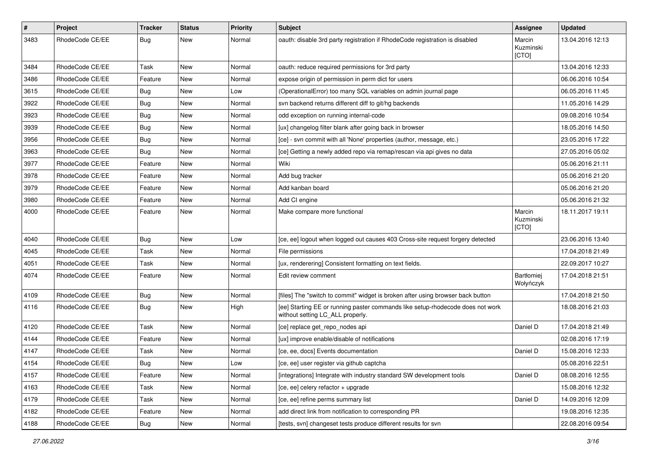| $\#$ | Project         | Tracker    | <b>Status</b> | <b>Priority</b> | Subject                                                                                                            | Assignee                     | <b>Updated</b>   |
|------|-----------------|------------|---------------|-----------------|--------------------------------------------------------------------------------------------------------------------|------------------------------|------------------|
| 3483 | RhodeCode CE/EE | Bug        | New           | Normal          | oauth: disable 3rd party registration if RhodeCode registration is disabled                                        | Marcin<br>Kuzminski<br>[CTO] | 13.04.2016 12:13 |
| 3484 | RhodeCode CE/EE | Task       | New           | Normal          | oauth: reduce required permissions for 3rd party                                                                   |                              | 13.04.2016 12:33 |
| 3486 | RhodeCode CE/EE | Feature    | <b>New</b>    | Normal          | expose origin of permission in perm dict for users                                                                 |                              | 06.06.2016 10:54 |
| 3615 | RhodeCode CE/EE | <b>Bug</b> | New           | Low             | (OperationalError) too many SQL variables on admin journal page                                                    |                              | 06.05.2016 11:45 |
| 3922 | RhodeCode CE/EE | <b>Bug</b> | New           | Normal          | svn backend returns different diff to git/hg backends                                                              |                              | 11.05.2016 14:29 |
| 3923 | RhodeCode CE/EE | <b>Bug</b> | New           | Normal          | odd exception on running internal-code                                                                             |                              | 09.08.2016 10:54 |
| 3939 | RhodeCode CE/EE | <b>Bug</b> | New           | Normal          | [ux] changelog filter blank after going back in browser                                                            |                              | 18.05.2016 14:50 |
| 3956 | RhodeCode CE/EE | Bug        | <b>New</b>    | Normal          | [ce] - svn commit with all 'None' properties (author, message, etc.)                                               |                              | 23.05.2016 17:22 |
| 3963 | RhodeCode CE/EE | Bug        | New           | Normal          | [ce] Getting a newly added repo via remap/rescan via api gives no data                                             |                              | 27.05.2016 05:02 |
| 3977 | RhodeCode CE/EE | Feature    | New           | Normal          | Wiki                                                                                                               |                              | 05.06.2016 21:11 |
| 3978 | RhodeCode CE/EE | Feature    | New           | Normal          | Add bug tracker                                                                                                    |                              | 05.06.2016 21:20 |
| 3979 | RhodeCode CE/EE | Feature    | New           | Normal          | Add kanban board                                                                                                   |                              | 05.06.2016 21:20 |
| 3980 | RhodeCode CE/EE | Feature    | <b>New</b>    | Normal          | Add CI engine                                                                                                      |                              | 05.06.2016 21:32 |
| 4000 | RhodeCode CE/EE | Feature    | New           | Normal          | Make compare more functional                                                                                       | Marcin<br>Kuzminski<br>[CTO] | 18.11.2017 19:11 |
| 4040 | RhodeCode CE/EE | Bug        | New           | Low             | [ce, ee] logout when logged out causes 403 Cross-site request forgery detected                                     |                              | 23.06.2016 13:40 |
| 4045 | RhodeCode CE/EE | Task       | New           | Normal          | File permissions                                                                                                   |                              | 17.04.2018 21:49 |
| 4051 | RhodeCode CE/EE | Task       | New           | Normal          | [ux, renderering] Consistent formatting on text fields.                                                            |                              | 22.09.2017 10:27 |
| 4074 | RhodeCode CE/EE | Feature    | New           | Normal          | Edit review comment                                                                                                | Bartłomiej<br>Wołyńczyk      | 17.04.2018 21:51 |
| 4109 | RhodeCode CE/EE | Bug        | New           | Normal          | [files] The "switch to commit" widget is broken after using browser back button                                    |                              | 17.04.2018 21:50 |
| 4116 | RhodeCode CE/EE | Bug        | New           | High            | [ee] Starting EE or running paster commands like setup-rhodecode does not work<br>without setting LC_ALL properly. |                              | 18.08.2016 21:03 |
| 4120 | RhodeCode CE/EE | Task       | New           | Normal          | [ce] replace get_repo_nodes api                                                                                    | Daniel D                     | 17.04.2018 21:49 |
| 4144 | RhodeCode CE/EE | Feature    | New           | Normal          | [ux] improve enable/disable of notifications                                                                       |                              | 02.08.2016 17:19 |
| 4147 | RhodeCode CE/EE | Task       | New           | Normal          | [ce, ee, docs] Events documentation                                                                                | Daniel D                     | 15.08.2016 12:33 |
| 4154 | RhodeCode CE/EE | <b>Bug</b> | New           | Low             | [ce, ee] user register via github captcha                                                                          |                              | 05.08.2016 22:51 |
| 4157 | RhodeCode CE/EE | Feature    | New           | Normal          | [integrations] Integrate with industry standard SW development tools                                               | Daniel D                     | 08.08.2016 12:55 |
| 4163 | RhodeCode CE/EE | Task       | New           | Normal          | [ce, ee] celery refactor + upgrade                                                                                 |                              | 15.08.2016 12:32 |
| 4179 | RhodeCode CE/EE | Task       | New           | Normal          | [ce, ee] refine perms summary list                                                                                 | Daniel D                     | 14.09.2016 12:09 |
| 4182 | RhodeCode CE/EE | Feature    | New           | Normal          | add direct link from notification to corresponding PR                                                              |                              | 19.08.2016 12:35 |
| 4188 | RhodeCode CE/EE | Bug        | New           | Normal          | [tests, svn] changeset tests produce different results for svn                                                     |                              | 22.08.2016 09:54 |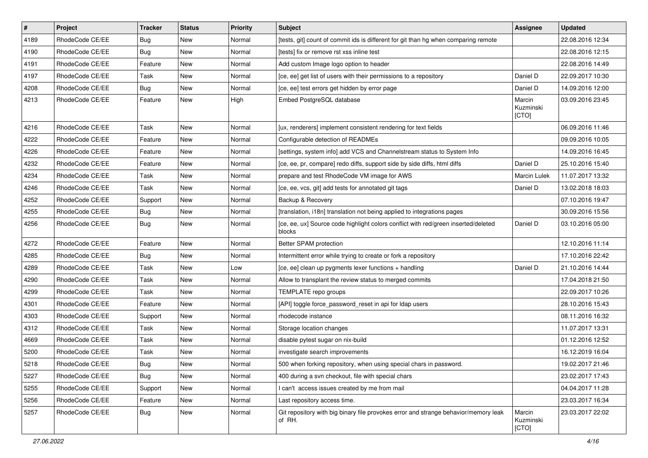| $\pmb{\#}$ | Project         | <b>Tracker</b> | <b>Status</b> | <b>Priority</b> | <b>Subject</b>                                                                                | <b>Assignee</b>              | <b>Updated</b>   |
|------------|-----------------|----------------|---------------|-----------------|-----------------------------------------------------------------------------------------------|------------------------------|------------------|
| 4189       | RhodeCode CE/EE | <b>Bug</b>     | New           | Normal          | [tests, git] count of commit ids is different for git than hg when comparing remote           |                              | 22.08.2016 12:34 |
| 4190       | RhodeCode CE/EE | Bug            | New           | Normal          | [tests] fix or remove rst xss inline test                                                     |                              | 22.08.2016 12:15 |
| 4191       | RhodeCode CE/EE | Feature        | New           | Normal          | Add custom Image logo option to header                                                        |                              | 22.08.2016 14:49 |
| 4197       | RhodeCode CE/EE | Task           | New           | Normal          | [ce, ee] get list of users with their permissions to a repository                             | Daniel D                     | 22.09.2017 10:30 |
| 4208       | RhodeCode CE/EE | Bug            | <b>New</b>    | Normal          | [ce, ee] test errors get hidden by error page                                                 | Daniel D                     | 14.09.2016 12:00 |
| 4213       | RhodeCode CE/EE | Feature        | New           | High            | Embed PostgreSQL database                                                                     | Marcin<br>Kuzminski<br>[CTO] | 03.09.2016 23:45 |
| 4216       | RhodeCode CE/EE | Task           | <b>New</b>    | Normal          | [ux, renderers] implement consistent rendering for text fields                                |                              | 06.09.2016 11:46 |
| 4222       | RhodeCode CE/EE | Feature        | New           | Normal          | Configurable detection of READMEs                                                             |                              | 09.09.2016 10:05 |
| 4226       | RhodeCode CE/EE | Feature        | New           | Normal          | [settings, system info] add VCS and Channelstream status to System Info                       |                              | 14.09.2016 16:45 |
| 4232       | RhodeCode CE/EE | Feature        | New           | Normal          | [ce, ee, pr, compare] redo diffs, support side by side diffs, html diffs                      | Daniel D                     | 25.10.2016 15:40 |
| 4234       | RhodeCode CE/EE | Task           | New           | Normal          | prepare and test RhodeCode VM image for AWS                                                   | Marcin Lulek                 | 11.07.2017 13:32 |
| 4246       | RhodeCode CE/EE | Task           | New           | Normal          | [ce, ee, vcs, git] add tests for annotated git tags                                           | Daniel D                     | 13.02.2018 18:03 |
| 4252       | RhodeCode CE/EE | Support        | New           | Normal          | Backup & Recovery                                                                             |                              | 07.10.2016 19:47 |
| 4255       | RhodeCode CE/EE | Bug            | New           | Normal          | [translation, i18n] translation not being applied to integrations pages                       |                              | 30.09.2016 15:56 |
| 4256       | RhodeCode CE/EE | Bug            | New           | Normal          | [ce, ee, ux] Source code highlight colors conflict with red/green inserted/deleted<br>blocks  | Daniel D                     | 03.10.2016 05:00 |
| 4272       | RhodeCode CE/EE | Feature        | <b>New</b>    | Normal          | Better SPAM protection                                                                        |                              | 12.10.2016 11:14 |
| 4285       | RhodeCode CE/EE | Bug            | New           | Normal          | Intermittent error while trying to create or fork a repository                                |                              | 17.10.2016 22:42 |
| 4289       | RhodeCode CE/EE | Task           | New           | Low             | [ce, ee] clean up pygments lexer functions + handling                                         | Daniel D                     | 21.10.2016 14:44 |
| 4290       | RhodeCode CE/EE | Task           | New           | Normal          | Allow to transplant the review status to merged commits                                       |                              | 17.04.2018 21:50 |
| 4299       | RhodeCode CE/EE | Task           | New           | Normal          | TEMPLATE repo groups                                                                          |                              | 22.09.2017 10:26 |
| 4301       | RhodeCode CE/EE | Feature        | New           | Normal          | [API] toggle force_password_reset in api for Idap users                                       |                              | 28.10.2016 15:43 |
| 4303       | RhodeCode CE/EE | Support        | New           | Normal          | rhodecode instance                                                                            |                              | 08.11.2016 16:32 |
| 4312       | RhodeCode CE/EE | Task           | New           | Normal          | Storage location changes                                                                      |                              | 11.07.2017 13:31 |
| 4669       | RhodeCode CE/EE | Task           | New           | Normal          | disable pytest sugar on nix-build                                                             |                              | 01.12.2016 12:52 |
| 5200       | RhodeCode CE/EE | Task           | New           | Normal          | investigate search improvements                                                               |                              | 16.12.2019 16:04 |
| 5218       | RhodeCode CE/EE | Bug            | New           | Normal          | 500 when forking repository, when using special chars in password.                            |                              | 19.02.2017 21:46 |
| 5227       | RhodeCode CE/EE | Bug            | New           | Normal          | 400 during a svn checkout, file with special chars                                            |                              | 23.02.2017 17:43 |
| 5255       | RhodeCode CE/EE | Support        | New           | Normal          | I can't access issues created by me from mail                                                 |                              | 04.04.2017 11:28 |
| 5256       | RhodeCode CE/EE | Feature        | New           | Normal          | Last repository access time.                                                                  |                              | 23.03.2017 16:34 |
| 5257       | RhodeCode CE/EE | Bug            | New           | Normal          | Git repository with big binary file provokes error and strange behavior/memory leak<br>of RH. | Marcin<br>Kuzminski<br>[CTO] | 23.03.2017 22:02 |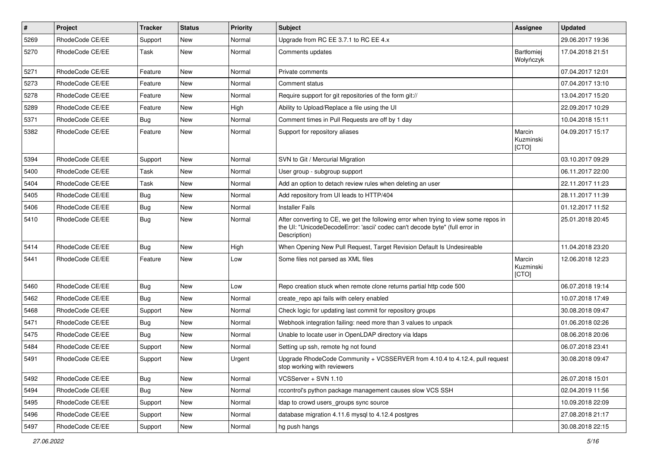| $\vert$ # | Project         | <b>Tracker</b> | <b>Status</b> | Priority | Subject                                                                                                                                                                              | <b>Assignee</b>                | <b>Updated</b>   |
|-----------|-----------------|----------------|---------------|----------|--------------------------------------------------------------------------------------------------------------------------------------------------------------------------------------|--------------------------------|------------------|
| 5269      | RhodeCode CE/EE | Support        | New           | Normal   | Upgrade from RC EE 3.7.1 to RC EE 4.x                                                                                                                                                |                                | 29.06.2017 19:36 |
| 5270      | RhodeCode CE/EE | Task           | <b>New</b>    | Normal   | Comments updates                                                                                                                                                                     | <b>Bartłomiei</b><br>Wołyńczyk | 17.04.2018 21:51 |
| 5271      | RhodeCode CE/EE | Feature        | <b>New</b>    | Normal   | Private comments                                                                                                                                                                     |                                | 07.04.2017 12:01 |
| 5273      | RhodeCode CE/EE | Feature        | <b>New</b>    | Normal   | Comment status                                                                                                                                                                       |                                | 07.04.2017 13:10 |
| 5278      | RhodeCode CE/EE | Feature        | New           | Normal   | Require support for git repositories of the form git://                                                                                                                              |                                | 13.04.2017 15:20 |
| 5289      | RhodeCode CE/EE | Feature        | <b>New</b>    | High     | Ability to Upload/Replace a file using the UI                                                                                                                                        |                                | 22.09.2017 10:29 |
| 5371      | RhodeCode CE/EE | Bug            | <b>New</b>    | Normal   | Comment times in Pull Requests are off by 1 day                                                                                                                                      |                                | 10.04.2018 15:11 |
| 5382      | RhodeCode CE/EE | Feature        | New           | Normal   | Support for repository aliases                                                                                                                                                       | Marcin<br>Kuzminski<br>[CTO]   | 04.09.2017 15:17 |
| 5394      | RhodeCode CE/EE | Support        | <b>New</b>    | Normal   | SVN to Git / Mercurial Migration                                                                                                                                                     |                                | 03.10.2017 09:29 |
| 5400      | RhodeCode CE/EE | Task           | <b>New</b>    | Normal   | User group - subgroup support                                                                                                                                                        |                                | 06.11.2017 22:00 |
| 5404      | RhodeCode CE/EE | Task           | New           | Normal   | Add an option to detach review rules when deleting an user                                                                                                                           |                                | 22.11.2017 11:23 |
| 5405      | RhodeCode CE/EE | Bug            | New           | Normal   | Add repository from UI leads to HTTP/404                                                                                                                                             |                                | 28.11.2017 11:39 |
| 5406      | RhodeCode CE/EE | Bug            | <b>New</b>    | Normal   | <b>Installer Fails</b>                                                                                                                                                               |                                | 01.12.2017 11:52 |
| 5410      | RhodeCode CE/EE | Bug            | New           | Normal   | After converting to CE, we get the following error when trying to view some repos in<br>the UI: "UnicodeDecodeError: 'ascii' codec can't decode byte" (full error in<br>Description) |                                | 25.01.2018 20:45 |
| 5414      | RhodeCode CE/EE | Bug            | <b>New</b>    | High     | When Opening New Pull Request, Target Revision Default Is Undesireable                                                                                                               |                                | 11.04.2018 23:20 |
| 5441      | RhodeCode CE/EE | Feature        | <b>New</b>    | Low      | Some files not parsed as XML files                                                                                                                                                   | Marcin<br>Kuzminski<br>[CTO]   | 12.06.2018 12:23 |
| 5460      | RhodeCode CE/EE | Bug            | <b>New</b>    | Low      | Repo creation stuck when remote clone returns partial http code 500                                                                                                                  |                                | 06.07.2018 19:14 |
| 5462      | RhodeCode CE/EE | Bug            | New           | Normal   | create repo api fails with celery enabled                                                                                                                                            |                                | 10.07.2018 17:49 |
| 5468      | RhodeCode CE/EE | Support        | <b>New</b>    | Normal   | Check logic for updating last commit for repository groups                                                                                                                           |                                | 30.08.2018 09:47 |
| 5471      | RhodeCode CE/EE | Bug            | <b>New</b>    | Normal   | Webhook integration failing: need more than 3 values to unpack                                                                                                                       |                                | 01.06.2018 02:26 |
| 5475      | RhodeCode CE/EE | Bug            | <b>New</b>    | Normal   | Unable to locate user in OpenLDAP directory via Idaps                                                                                                                                |                                | 08.06.2018 20:06 |
| 5484      | RhodeCode CE/EE | Support        | <b>New</b>    | Normal   | Setting up ssh, remote hg not found                                                                                                                                                  |                                | 06.07.2018 23:41 |
| 5491      | RhodeCode CE/EE | Support        | New           | Urgent   | Upgrade RhodeCode Community + VCSSERVER from 4.10.4 to 4.12.4, pull request<br>stop working with reviewers                                                                           |                                | 30.08.2018 09:47 |
| 5492      | RhodeCode CE/EE | <b>Bug</b>     | New           | Normal   | VCSServer + SVN 1.10                                                                                                                                                                 |                                | 26.07.2018 15:01 |
| 5494      | RhodeCode CE/EE | <b>Bug</b>     | New           | Normal   | rccontrol's python package management causes slow VCS SSH                                                                                                                            |                                | 02.04.2019 11:56 |
| 5495      | RhodeCode CE/EE | Support        | New           | Normal   | Idap to crowd users_groups sync source                                                                                                                                               |                                | 10.09.2018 22:09 |
| 5496      | RhodeCode CE/EE | Support        | New           | Normal   | database migration 4.11.6 mysql to 4.12.4 postgres                                                                                                                                   |                                | 27.08.2018 21:17 |
| 5497      | RhodeCode CE/EE | Support        | New           | Normal   | hg push hangs                                                                                                                                                                        |                                | 30.08.2018 22:15 |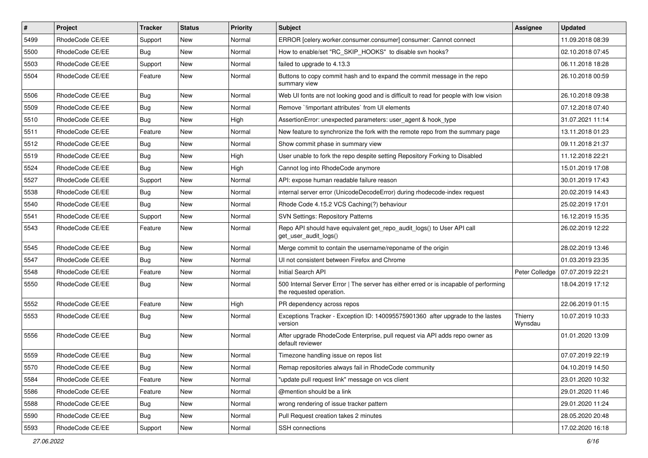| $\vert$ # | Project         | <b>Tracker</b> | <b>Status</b> | <b>Priority</b> | <b>Subject</b>                                                                                                    | <b>Assignee</b>    | <b>Updated</b>   |
|-----------|-----------------|----------------|---------------|-----------------|-------------------------------------------------------------------------------------------------------------------|--------------------|------------------|
| 5499      | RhodeCode CE/EE | Support        | New           | Normal          | ERROR [celery.worker.consumer.consumer] consumer: Cannot connect                                                  |                    | 11.09.2018 08:39 |
| 5500      | RhodeCode CE/EE | Bug            | <b>New</b>    | Normal          | How to enable/set "RC_SKIP_HOOKS" to disable svn hooks?                                                           |                    | 02.10.2018 07:45 |
| 5503      | RhodeCode CE/EE | Support        | New           | Normal          | failed to upgrade to 4.13.3                                                                                       |                    | 06.11.2018 18:28 |
| 5504      | RhodeCode CE/EE | Feature        | New           | Normal          | Buttons to copy commit hash and to expand the commit message in the repo<br>summary view                          |                    | 26.10.2018 00:59 |
| 5506      | RhodeCode CE/EE | Bug            | New           | Normal          | Web UI fonts are not looking good and is difficult to read for people with low vision                             |                    | 26.10.2018 09:38 |
| 5509      | RhodeCode CE/EE | Bug            | New           | Normal          | Remove `limportant attributes` from UI elements                                                                   |                    | 07.12.2018 07:40 |
| 5510      | RhodeCode CE/EE | Bug            | <b>New</b>    | High            | AssertionError: unexpected parameters: user_agent & hook_type                                                     |                    | 31.07.2021 11:14 |
| 5511      | RhodeCode CE/EE | Feature        | New           | Normal          | New feature to synchronize the fork with the remote repo from the summary page                                    |                    | 13.11.2018 01:23 |
| 5512      | RhodeCode CE/EE | Bug            | New           | Normal          | Show commit phase in summary view                                                                                 |                    | 09.11.2018 21:37 |
| 5519      | RhodeCode CE/EE | Bug            | New           | High            | User unable to fork the repo despite setting Repository Forking to Disabled                                       |                    | 11.12.2018 22:21 |
| 5524      | RhodeCode CE/EE | Bug            | New           | High            | Cannot log into RhodeCode anymore                                                                                 |                    | 15.01.2019 17:08 |
| 5527      | RhodeCode CE/EE | Support        | <b>New</b>    | Normal          | API: expose human readable failure reason                                                                         |                    | 30.01.2019 17:43 |
| 5538      | RhodeCode CE/EE | Bug            | New           | Normal          | internal server error (UnicodeDecodeError) during rhodecode-index request                                         |                    | 20.02.2019 14:43 |
| 5540      | RhodeCode CE/EE | Bug            | New           | Normal          | Rhode Code 4.15.2 VCS Caching(?) behaviour                                                                        |                    | 25.02.2019 17:01 |
| 5541      | RhodeCode CE/EE | Support        | New           | Normal          | <b>SVN Settings: Repository Patterns</b>                                                                          |                    | 16.12.2019 15:35 |
| 5543      | RhodeCode CE/EE | Feature        | New           | Normal          | Repo API should have equivalent get_repo_audit_logs() to User API call<br>get_user_audit_logs()                   |                    | 26.02.2019 12:22 |
| 5545      | RhodeCode CE/EE | Bug            | New           | Normal          | Merge commit to contain the username/reponame of the origin                                                       |                    | 28.02.2019 13:46 |
| 5547      | RhodeCode CE/EE | Bug            | New           | Normal          | UI not consistent between Firefox and Chrome                                                                      |                    | 01.03.2019 23:35 |
| 5548      | RhodeCode CE/EE | Feature        | <b>New</b>    | Normal          | Initial Search API                                                                                                | Peter Colledge     | 07.07.2019 22:21 |
| 5550      | RhodeCode CE/EE | Bug            | New           | Normal          | 500 Internal Server Error   The server has either erred or is incapable of performing<br>the requested operation. |                    | 18.04.2019 17:12 |
| 5552      | RhodeCode CE/EE | Feature        | New           | High            | PR dependency across repos                                                                                        |                    | 22.06.2019 01:15 |
| 5553      | RhodeCode CE/EE | Bug            | New           | Normal          | Exceptions Tracker - Exception ID: 140095575901360 after upgrade to the lastes<br>version                         | Thierry<br>Wynsdau | 10.07.2019 10:33 |
| 5556      | RhodeCode CE/EE | Bug            | <b>New</b>    | Normal          | After upgrade RhodeCode Enterprise, pull request via API adds repo owner as<br>default reviewer                   |                    | 01.01.2020 13:09 |
| 5559      | RhodeCode CE/EE | <b>Bug</b>     | <b>New</b>    | Normal          | Timezone handling issue on repos list                                                                             |                    | 07.07.2019 22:19 |
| 5570      | RhodeCode CE/EE | Bug            | New           | Normal          | Remap repositories always fail in RhodeCode community                                                             |                    | 04.10.2019 14:50 |
| 5584      | RhodeCode CE/EE | Feature        | New           | Normal          | "update pull request link" message on vcs client                                                                  |                    | 23.01.2020 10:32 |
| 5586      | RhodeCode CE/EE | Feature        | New           | Normal          | @mention should be a link                                                                                         |                    | 29.01.2020 11:46 |
| 5588      | RhodeCode CE/EE | Bug            | New           | Normal          | wrong rendering of issue tracker pattern                                                                          |                    | 29.01.2020 11:24 |
| 5590      | RhodeCode CE/EE | <b>Bug</b>     | New           | Normal          | Pull Request creation takes 2 minutes                                                                             |                    | 28.05.2020 20:48 |
| 5593      | RhodeCode CE/EE | Support        | New           | Normal          | SSH connections                                                                                                   |                    | 17.02.2020 16:18 |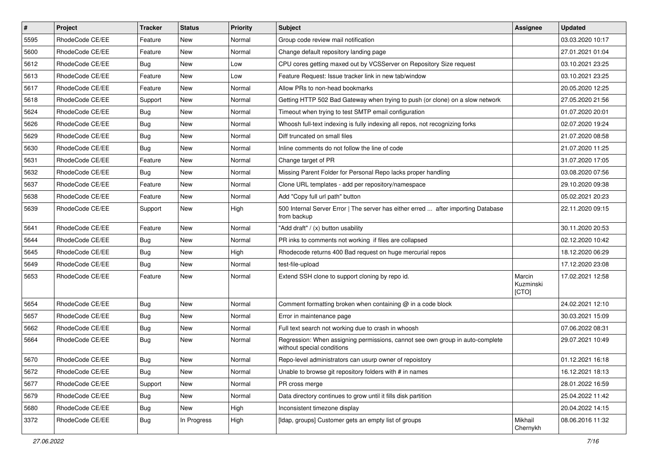| $\sharp$ | Project         | <b>Tracker</b> | <b>Status</b> | Priority | Subject                                                                                                     | <b>Assignee</b>              | <b>Updated</b>   |
|----------|-----------------|----------------|---------------|----------|-------------------------------------------------------------------------------------------------------------|------------------------------|------------------|
| 5595     | RhodeCode CE/EE | Feature        | New           | Normal   | Group code review mail notification                                                                         |                              | 03.03.2020 10:17 |
| 5600     | RhodeCode CE/EE | Feature        | <b>New</b>    | Normal   | Change default repository landing page                                                                      |                              | 27.01.2021 01:04 |
| 5612     | RhodeCode CE/EE | Bug            | New           | Low      | CPU cores getting maxed out by VCSServer on Repository Size request                                         |                              | 03.10.2021 23:25 |
| 5613     | RhodeCode CE/EE | Feature        | New           | Low      | Feature Request: Issue tracker link in new tab/window                                                       |                              | 03.10.2021 23:25 |
| 5617     | RhodeCode CE/EE | Feature        | <b>New</b>    | Normal   | Allow PRs to non-head bookmarks                                                                             |                              | 20.05.2020 12:25 |
| 5618     | RhodeCode CE/EE | Support        | New           | Normal   | Getting HTTP 502 Bad Gateway when trying to push (or clone) on a slow network                               |                              | 27.05.2020 21:56 |
| 5624     | RhodeCode CE/EE | Bug            | New           | Normal   | Timeout when trying to test SMTP email configuration                                                        |                              | 01.07.2020 20:01 |
| 5626     | RhodeCode CE/EE | Bug            | New           | Normal   | Whoosh full-text indexing is fully indexing all repos, not recognizing forks                                |                              | 02.07.2020 19:24 |
| 5629     | RhodeCode CE/EE | Bug            | New           | Normal   | Diff truncated on small files                                                                               |                              | 21.07.2020 08:58 |
| 5630     | RhodeCode CE/EE | <b>Bug</b>     | <b>New</b>    | Normal   | Inline comments do not follow the line of code                                                              |                              | 21.07.2020 11:25 |
| 5631     | RhodeCode CE/EE | Feature        | New           | Normal   | Change target of PR                                                                                         |                              | 31.07.2020 17:05 |
| 5632     | RhodeCode CE/EE | Bug            | New           | Normal   | Missing Parent Folder for Personal Repo lacks proper handling                                               |                              | 03.08.2020 07:56 |
| 5637     | RhodeCode CE/EE | Feature        | New           | Normal   | Clone URL templates - add per repository/namespace                                                          |                              | 29.10.2020 09:38 |
| 5638     | RhodeCode CE/EE | Feature        | New           | Normal   | Add "Copy full url path" button                                                                             |                              | 05.02.2021 20:23 |
| 5639     | RhodeCode CE/EE | Support        | New           | High     | 500 Internal Server Error   The server has either erred  after importing Database<br>from backup            |                              | 22.11.2020 09:15 |
| 5641     | RhodeCode CE/EE | Feature        | <b>New</b>    | Normal   | "Add draft" / (x) button usability                                                                          |                              | 30.11.2020 20:53 |
| 5644     | RhodeCode CE/EE | Bug            | <b>New</b>    | Normal   | PR inks to comments not working if files are collapsed                                                      |                              | 02.12.2020 10:42 |
| 5645     | RhodeCode CE/EE | Bug            | New           | High     | Rhodecode returns 400 Bad request on huge mercurial repos                                                   |                              | 18.12.2020 06:29 |
| 5649     | RhodeCode CE/EE | <b>Bug</b>     | New           | Normal   | test-file-upload                                                                                            |                              | 17.12.2020 23:08 |
| 5653     | RhodeCode CE/EE | Feature        | New           | Normal   | Extend SSH clone to support cloning by repo id.                                                             | Marcin<br>Kuzminski<br>[CTO] | 17.02.2021 12:58 |
| 5654     | RhodeCode CE/EE | Bug            | New           | Normal   | Comment formatting broken when containing @ in a code block                                                 |                              | 24.02.2021 12:10 |
| 5657     | RhodeCode CE/EE | Bug            | New           | Normal   | Error in maintenance page                                                                                   |                              | 30.03.2021 15:09 |
| 5662     | RhodeCode CE/EE | Bug            | <b>New</b>    | Normal   | Full text search not working due to crash in whoosh                                                         |                              | 07.06.2022 08:31 |
| 5664     | RhodeCode CE/EE | Bug            | New           | Normal   | Regression: When assigning permissions, cannot see own group in auto-complete<br>without special conditions |                              | 29.07.2021 10:49 |
| 5670     | RhodeCode CE/EE | Bug            | <b>New</b>    | Normal   | Repo-level administrators can usurp owner of repoistory                                                     |                              | 01.12.2021 16:18 |
| 5672     | RhodeCode CE/EE | <b>Bug</b>     | New           | Normal   | Unable to browse git repository folders with # in names                                                     |                              | 16.12.2021 18:13 |
| 5677     | RhodeCode CE/EE | Support        | <b>New</b>    | Normal   | PR cross merge                                                                                              |                              | 28.01.2022 16:59 |
| 5679     | RhodeCode CE/EE | Bug            | New           | Normal   | Data directory continues to grow until it fills disk partition                                              |                              | 25.04.2022 11:42 |
| 5680     | RhodeCode CE/EE | <b>Bug</b>     | New           | High     | Inconsistent timezone display                                                                               |                              | 20.04.2022 14:15 |
| 3372     | RhodeCode CE/EE | <b>Bug</b>     | In Progress   | High     | [Idap, groups] Customer gets an empty list of groups                                                        | Mikhail<br>Chernykh          | 08.06.2016 11:32 |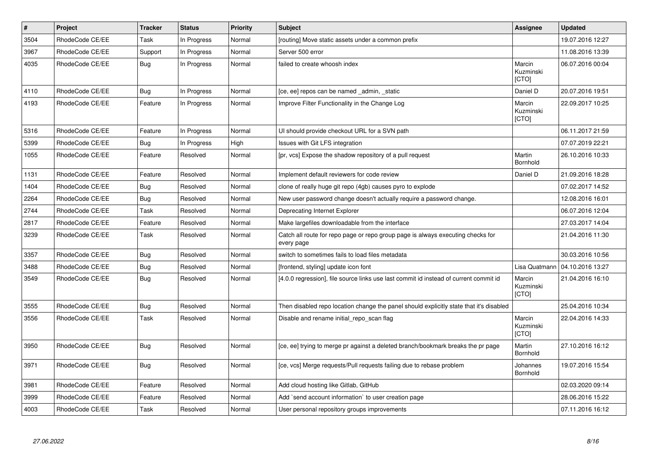| $\vert$ # | Project         | <b>Tracker</b> | <b>Status</b> | Priority | <b>Subject</b>                                                                                | Assignee                            | <b>Updated</b>   |
|-----------|-----------------|----------------|---------------|----------|-----------------------------------------------------------------------------------------------|-------------------------------------|------------------|
| 3504      | RhodeCode CE/EE | Task           | In Progress   | Normal   | [routing] Move static assets under a common prefix                                            |                                     | 19.07.2016 12:27 |
| 3967      | RhodeCode CE/EE | Support        | In Progress   | Normal   | Server 500 error                                                                              |                                     | 11.08.2016 13:39 |
| 4035      | RhodeCode CE/EE | Bug            | In Progress   | Normal   | failed to create whoosh index                                                                 | Marcin<br>Kuzminski<br><b>[CTO]</b> | 06.07.2016 00:04 |
| 4110      | RhodeCode CE/EE | Bug            | In Progress   | Normal   | [ce, ee] repos can be named _admin, _static                                                   | Daniel D                            | 20.07.2016 19:51 |
| 4193      | RhodeCode CE/EE | Feature        | In Progress   | Normal   | Improve Filter Functionality in the Change Log                                                | Marcin<br>Kuzminski<br>[CTO]        | 22.09.2017 10:25 |
| 5316      | RhodeCode CE/EE | Feature        | In Progress   | Normal   | UI should provide checkout URL for a SVN path                                                 |                                     | 06.11.2017 21:59 |
| 5399      | RhodeCode CE/EE | <b>Bug</b>     | In Progress   | High     | Issues with Git LFS integration                                                               |                                     | 07.07.2019 22:21 |
| 1055      | RhodeCode CE/EE | Feature        | Resolved      | Normal   | [pr, vcs] Expose the shadow repository of a pull request                                      | Martin<br><b>Bornhold</b>           | 26.10.2016 10:33 |
| 1131      | RhodeCode CE/EE | Feature        | Resolved      | Normal   | Implement default reviewers for code review                                                   | Daniel D                            | 21.09.2016 18:28 |
| 1404      | RhodeCode CE/EE | Bug            | Resolved      | Normal   | clone of really huge git repo (4gb) causes pyro to explode                                    |                                     | 07.02.2017 14:52 |
| 2264      | RhodeCode CE/EE | Bug            | Resolved      | Normal   | New user password change doesn't actually require a password change.                          |                                     | 12.08.2016 16:01 |
| 2744      | RhodeCode CE/EE | Task           | Resolved      | Normal   | Deprecating Internet Explorer                                                                 |                                     | 06.07.2016 12:04 |
| 2817      | RhodeCode CE/EE | Feature        | Resolved      | Normal   | Make largefiles downloadable from the interface                                               |                                     | 27.03.2017 14:04 |
| 3239      | RhodeCode CE/EE | Task           | Resolved      | Normal   | Catch all route for repo page or repo group page is always executing checks for<br>every page |                                     | 21.04.2016 11:30 |
| 3357      | RhodeCode CE/EE | Bug            | Resolved      | Normal   | switch to sometimes fails to load files metadata                                              |                                     | 30.03.2016 10:56 |
| 3488      | RhodeCode CE/EE | Bug            | Resolved      | Normal   | [frontend, styling] update icon font                                                          | Lisa Quatmann                       | 04.10.2016 13:27 |
| 3549      | RhodeCode CE/EE | Bug            | Resolved      | Normal   | [4.0.0 regression], file source links use last commit id instead of current commit id         | Marcin<br>Kuzminski<br>[CTO]        | 21.04.2016 16:10 |
| 3555      | RhodeCode CE/EE | Bug            | Resolved      | Normal   | Then disabled repo location change the panel should explicitly state that it's disabled       |                                     | 25.04.2016 10:34 |
| 3556      | RhodeCode CE/EE | Task           | Resolved      | Normal   | Disable and rename initial repo scan flag                                                     | Marcin<br>Kuzminski<br>[CTO]        | 22.04.2016 14:33 |
| 3950      | RhodeCode CE/EE | Bug            | Resolved      | Normal   | [ce, ee] trying to merge pr against a deleted branch/bookmark breaks the pr page              | Martin<br><b>Bornhold</b>           | 27.10.2016 16:12 |
| 3971      | RhodeCode CE/EE | Bug            | Resolved      | Normal   | [ce, vcs] Merge requests/Pull requests failing due to rebase problem                          | Johannes<br><b>Bornhold</b>         | 19.07.2016 15:54 |
| 3981      | RhodeCode CE/EE | Feature        | Resolved      | Normal   | Add cloud hosting like Gitlab, GitHub                                                         |                                     | 02.03.2020 09:14 |
| 3999      | RhodeCode CE/EE | Feature        | Resolved      | Normal   | Add `send account information` to user creation page                                          |                                     | 28.06.2016 15:22 |
| 4003      | RhodeCode CE/EE | Task           | Resolved      | Normal   | User personal repository groups improvements                                                  |                                     | 07.11.2016 16:12 |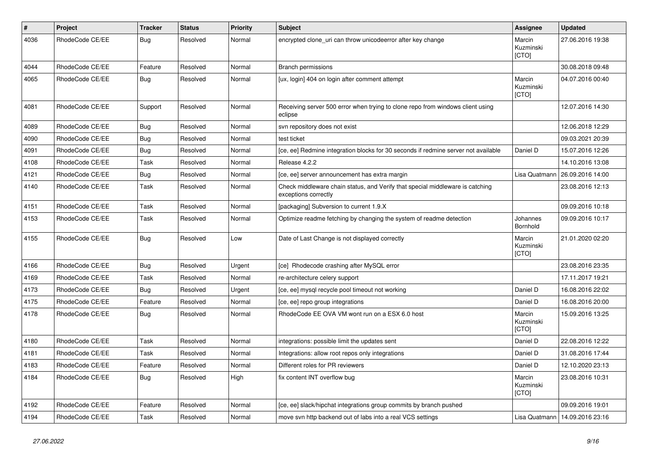| $\#$ | Project         | <b>Tracker</b> | <b>Status</b> | <b>Priority</b> | <b>Subject</b>                                                                                        | Assignee                            | <b>Updated</b>                   |
|------|-----------------|----------------|---------------|-----------------|-------------------------------------------------------------------------------------------------------|-------------------------------------|----------------------------------|
| 4036 | RhodeCode CE/EE | Bug            | Resolved      | Normal          | encrypted clone uri can throw unicodeerror after key change                                           | Marcin<br>Kuzminski<br><b>[CTO]</b> | 27.06.2016 19:38                 |
| 4044 | RhodeCode CE/EE | Feature        | Resolved      | Normal          | <b>Branch permissions</b>                                                                             |                                     | 30.08.2018 09:48                 |
| 4065 | RhodeCode CE/EE | Bug            | Resolved      | Normal          | [ux, login] 404 on login after comment attempt                                                        | Marcin<br>Kuzminski<br>[CTO]        | 04.07.2016 00:40                 |
| 4081 | RhodeCode CE/EE | Support        | Resolved      | Normal          | Receiving server 500 error when trying to clone repo from windows client using<br>eclipse             |                                     | 12.07.2016 14:30                 |
| 4089 | RhodeCode CE/EE | Bug            | Resolved      | Normal          | svn repository does not exist                                                                         |                                     | 12.06.2018 12:29                 |
| 4090 | RhodeCode CE/EE | <b>Bug</b>     | Resolved      | Normal          | test ticket                                                                                           |                                     | 09.03.2021 20:39                 |
| 4091 | RhodeCode CE/EE | Bug            | Resolved      | Normal          | [ce, ee] Redmine integration blocks for 30 seconds if redmine server not available                    | Daniel D                            | 15.07.2016 12:26                 |
| 4108 | RhodeCode CE/EE | Task           | Resolved      | Normal          | Release 4.2.2                                                                                         |                                     | 14.10.2016 13:08                 |
| 4121 | RhodeCode CE/EE | Bug            | Resolved      | Normal          | [ce, ee] server announcement has extra margin                                                         | Lisa Quatmann                       | 26.09.2016 14:00                 |
| 4140 | RhodeCode CE/EE | Task           | Resolved      | Normal          | Check middleware chain status, and Verify that special middleware is catching<br>exceptions correctly |                                     | 23.08.2016 12:13                 |
| 4151 | RhodeCode CE/EE | Task           | Resolved      | Normal          | [packaging] Subversion to current 1.9.X                                                               |                                     | 09.09.2016 10:18                 |
| 4153 | RhodeCode CE/EE | Task           | Resolved      | Normal          | Optimize readme fetching by changing the system of readme detection                                   | Johannes<br>Bornhold                | 09.09.2016 10:17                 |
| 4155 | RhodeCode CE/EE | Bug            | Resolved      | Low             | Date of Last Change is not displayed correctly                                                        | Marcin<br>Kuzminski<br>[CTO]        | 21.01.2020 02:20                 |
| 4166 | RhodeCode CE/EE | Bug            | Resolved      | Urgent          | [ce] Rhodecode crashing after MySQL error                                                             |                                     | 23.08.2016 23:35                 |
| 4169 | RhodeCode CE/EE | Task           | Resolved      | Normal          | re-architecture celery support                                                                        |                                     | 17.11.2017 19:21                 |
| 4173 | RhodeCode CE/EE | Bug            | Resolved      | Urgent          | [ce, ee] mysql recycle pool timeout not working                                                       | Daniel D                            | 16.08.2016 22:02                 |
| 4175 | RhodeCode CE/EE | Feature        | Resolved      | Normal          | [ce, ee] repo group integrations                                                                      | Daniel D                            | 16.08.2016 20:00                 |
| 4178 | RhodeCode CE/EE | Bug            | Resolved      | Normal          | RhodeCode EE OVA VM wont run on a ESX 6.0 host                                                        | Marcin<br>Kuzminski<br>[CTO]        | 15.09.2016 13:25                 |
| 4180 | RhodeCode CE/EE | Task           | Resolved      | Normal          | integrations: possible limit the updates sent                                                         | Daniel D                            | 22.08.2016 12:22                 |
| 4181 | RhodeCode CE/EE | Task           | Resolved      | Normal          | Integrations: allow root repos only integrations                                                      | Daniel D                            | 31.08.2016 17:44                 |
| 4183 | RhodeCode CE/EE | Feature        | Resolved      | Normal          | Different roles for PR reviewers                                                                      | Daniel D                            | 12.10.2020 23:13                 |
| 4184 | RhodeCode CE/EE | Bug            | Resolved      | High            | fix content INT overflow bug                                                                          | Marcin<br>Kuzminski<br>[CTO]        | 23.08.2016 10:31                 |
| 4192 | RhodeCode CE/EE | Feature        | Resolved      | Normal          | [ce, ee] slack/hipchat integrations group commits by branch pushed                                    |                                     | 09.09.2016 19:01                 |
| 4194 | RhodeCode CE/EE | Task           | Resolved      | Normal          | move svn http backend out of labs into a real VCS settings                                            |                                     | Lisa Quatmann   14.09.2016 23:16 |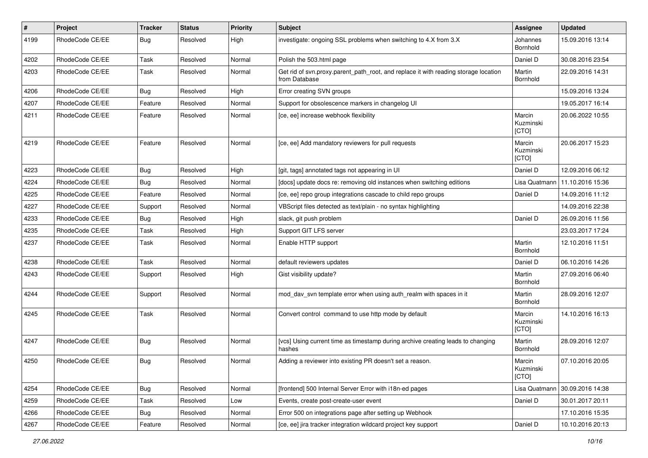| $\sharp$ | Project         | <b>Tracker</b> | <b>Status</b> | <b>Priority</b> | Subject                                                                                              | Assignee                     | <b>Updated</b>   |
|----------|-----------------|----------------|---------------|-----------------|------------------------------------------------------------------------------------------------------|------------------------------|------------------|
| 4199     | RhodeCode CE/EE | Bug            | Resolved      | High            | investigate: ongoing SSL problems when switching to 4.X from 3.X                                     | Johannes<br>Bornhold         | 15.09.2016 13:14 |
| 4202     | RhodeCode CE/EE | Task           | Resolved      | Normal          | Polish the 503.html page                                                                             | Daniel D                     | 30.08.2016 23:54 |
| 4203     | RhodeCode CE/EE | Task           | Resolved      | Normal          | Get rid of svn.proxy.parent_path_root, and replace it with reading storage location<br>from Database | Martin<br>Bornhold           | 22.09.2016 14:31 |
| 4206     | RhodeCode CE/EE | Bug            | Resolved      | High            | Error creating SVN groups                                                                            |                              | 15.09.2016 13:24 |
| 4207     | RhodeCode CE/EE | Feature        | Resolved      | Normal          | Support for obsolescence markers in changelog UI                                                     |                              | 19.05.2017 16:14 |
| 4211     | RhodeCode CE/EE | Feature        | Resolved      | Normal          | [ce, ee] increase webhook flexibility                                                                | Marcin<br>Kuzminski<br>[CTO] | 20.06.2022 10:55 |
| 4219     | RhodeCode CE/EE | Feature        | Resolved      | Normal          | [ce, ee] Add mandatory reviewers for pull requests                                                   | Marcin<br>Kuzminski<br>[CTO] | 20.06.2017 15:23 |
| 4223     | RhodeCode CE/EE | Bug            | Resolved      | High            | [git, tags] annotated tags not appearing in UI                                                       | Daniel D                     | 12.09.2016 06:12 |
| 4224     | RhodeCode CE/EE | Bug            | Resolved      | Normal          | [docs] update docs re: removing old instances when switching editions                                | Lisa Quatmann                | 11.10.2016 15:36 |
| 4225     | RhodeCode CE/EE | Feature        | Resolved      | Normal          | [ce, ee] repo group integrations cascade to child repo groups                                        | Daniel D                     | 14.09.2016 11:12 |
| 4227     | RhodeCode CE/EE | Support        | Resolved      | Normal          | VBScript files detected as text/plain - no syntax highlighting                                       |                              | 14.09.2016 22:38 |
| 4233     | RhodeCode CE/EE | Bug            | Resolved      | High            | slack, git push problem                                                                              | Daniel D                     | 26.09.2016 11:56 |
| 4235     | RhodeCode CE/EE | Task           | Resolved      | High            | Support GIT LFS server                                                                               |                              | 23.03.2017 17:24 |
| 4237     | RhodeCode CE/EE | Task           | Resolved      | Normal          | Enable HTTP support                                                                                  | Martin<br>Bornhold           | 12.10.2016 11:51 |
| 4238     | RhodeCode CE/EE | Task           | Resolved      | Normal          | default reviewers updates                                                                            | Daniel D                     | 06.10.2016 14:26 |
| 4243     | RhodeCode CE/EE | Support        | Resolved      | High            | Gist visibility update?                                                                              | Martin<br>Bornhold           | 27.09.2016 06:40 |
| 4244     | RhodeCode CE/EE | Support        | Resolved      | Normal          | mod_dav_svn template error when using auth_realm with spaces in it                                   | Martin<br>Bornhold           | 28.09.2016 12:07 |
| 4245     | RhodeCode CE/EE | Task           | Resolved      | Normal          | Convert control command to use http mode by default                                                  | Marcin<br>Kuzminski<br>[CTO] | 14.10.2016 16:13 |
| 4247     | RhodeCode CE/EE | Bug            | Resolved      | Normal          | [vcs] Using current time as timestamp during archive creating leads to changing<br>hashes            | Martin<br>Bornhold           | 28.09.2016 12:07 |
| 4250     | RhodeCode CE/EE | Bug            | Resolved      | Normal          | Adding a reviewer into existing PR doesn't set a reason.                                             | Marcin<br>Kuzminski<br>[CTO] | 07.10.2016 20:05 |
| 4254     | RhodeCode CE/EE | Bug            | Resolved      | Normal          | [frontend] 500 Internal Server Error with i18n-ed pages                                              | Lisa Quatmann                | 30.09.2016 14:38 |
| 4259     | RhodeCode CE/EE | Task           | Resolved      | Low             | Events, create post-create-user event                                                                | Daniel D                     | 30.01.2017 20:11 |
| 4266     | RhodeCode CE/EE | Bug            | Resolved      | Normal          | Error 500 on integrations page after setting up Webhook                                              |                              | 17.10.2016 15:35 |
| 4267     | RhodeCode CE/EE | Feature        | Resolved      | Normal          | [ce, ee] jira tracker integration wildcard project key support                                       | Daniel D                     | 10.10.2016 20:13 |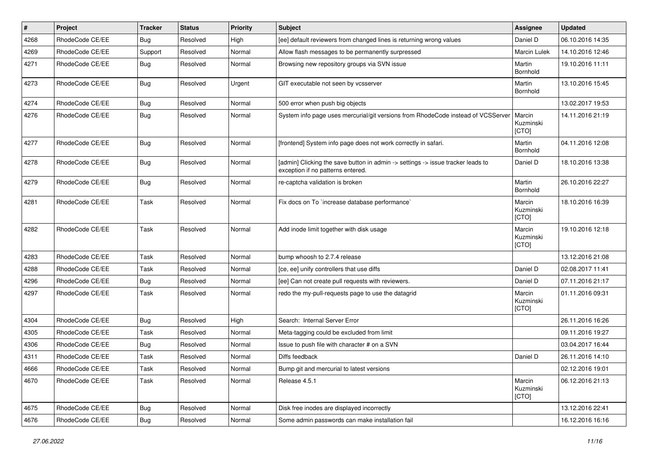| $\vert$ # | Project         | <b>Tracker</b> | <b>Status</b> | <b>Priority</b> | Subject                                                                                                              | <b>Assignee</b>              | <b>Updated</b>   |
|-----------|-----------------|----------------|---------------|-----------------|----------------------------------------------------------------------------------------------------------------------|------------------------------|------------------|
| 4268      | RhodeCode CE/EE | Bug            | Resolved      | High            | [ee] default reviewers from changed lines is returning wrong values                                                  | Daniel D                     | 06.10.2016 14:35 |
| 4269      | RhodeCode CE/EE | Support        | Resolved      | Normal          | Allow flash messages to be permanently surpressed                                                                    | <b>Marcin Lulek</b>          | 14.10.2016 12:46 |
| 4271      | RhodeCode CE/EE | Bug            | Resolved      | Normal          | Browsing new repository groups via SVN issue                                                                         | Martin<br>Bornhold           | 19.10.2016 11:11 |
| 4273      | RhodeCode CE/EE | <b>Bug</b>     | Resolved      | Urgent          | GIT executable not seen by vcsserver                                                                                 | Martin<br>Bornhold           | 13.10.2016 15:45 |
| 4274      | RhodeCode CE/EE | Bug            | Resolved      | Normal          | 500 error when push big objects                                                                                      |                              | 13.02.2017 19:53 |
| 4276      | RhodeCode CE/EE | <b>Bug</b>     | Resolved      | Normal          | System info page uses mercurial/git versions from RhodeCode instead of VCSServer                                     | Marcin<br>Kuzminski<br>[CTO] | 14.11.2016 21:19 |
| 4277      | RhodeCode CE/EE | Bug            | Resolved      | Normal          | [frontend] System info page does not work correctly in safari.                                                       | Martin<br>Bornhold           | 04.11.2016 12:08 |
| 4278      | RhodeCode CE/EE | <b>Bug</b>     | Resolved      | Normal          | [admin] Clicking the save button in admin -> settings -> issue tracker leads to<br>exception if no patterns entered. | Daniel D                     | 18.10.2016 13:38 |
| 4279      | RhodeCode CE/EE | Bug            | Resolved      | Normal          | re-captcha validation is broken                                                                                      | Martin<br>Bornhold           | 26.10.2016 22:27 |
| 4281      | RhodeCode CE/EE | Task           | Resolved      | Normal          | Fix docs on To `increase database performance`                                                                       | Marcin<br>Kuzminski<br>[CTO] | 18.10.2016 16:39 |
| 4282      | RhodeCode CE/EE | Task           | Resolved      | Normal          | Add inode limit together with disk usage                                                                             | Marcin<br>Kuzminski<br>[CTO] | 19.10.2016 12:18 |
| 4283      | RhodeCode CE/EE | Task           | Resolved      | Normal          | bump whoosh to 2.7.4 release                                                                                         |                              | 13.12.2016 21:08 |
| 4288      | RhodeCode CE/EE | Task           | Resolved      | Normal          | [ce, ee] unify controllers that use diffs                                                                            | Daniel D                     | 02.08.2017 11:41 |
| 4296      | RhodeCode CE/EE | <b>Bug</b>     | Resolved      | Normal          | [ee] Can not create pull requests with reviewers.                                                                    | Daniel D                     | 07.11.2016 21:17 |
| 4297      | RhodeCode CE/EE | Task           | Resolved      | Normal          | redo the my-pull-requests page to use the datagrid                                                                   | Marcin<br>Kuzminski<br>[CTO] | 01.11.2016 09:31 |
| 4304      | RhodeCode CE/EE | Bug            | Resolved      | High            | Search: Internal Server Error                                                                                        |                              | 26.11.2016 16:26 |
| 4305      | RhodeCode CE/EE | Task           | Resolved      | Normal          | Meta-tagging could be excluded from limit                                                                            |                              | 09.11.2016 19:27 |
| 4306      | RhodeCode CE/EE | <b>Bug</b>     | Resolved      | Normal          | Issue to push file with character # on a SVN                                                                         |                              | 03.04.2017 16:44 |
| 4311      | RhodeCode CE/EE | Task           | Resolved      | Normal          | Diffs feedback                                                                                                       | Daniel D                     | 26.11.2016 14:10 |
| 4666      | RhodeCode CE/EE | Task           | Resolved      | Normal          | Bump git and mercurial to latest versions                                                                            |                              | 02.12.2016 19:01 |
| 4670      | RhodeCode CE/EE | Task           | Resolved      | Normal          | Release 4.5.1                                                                                                        | Marcin<br>Kuzminski<br>[CTO] | 06.12.2016 21:13 |
| 4675      | RhodeCode CE/EE | Bug            | Resolved      | Normal          | Disk free inodes are displayed incorrectly                                                                           |                              | 13.12.2016 22:41 |
| 4676      | RhodeCode CE/EE | <b>Bug</b>     | Resolved      | Normal          | Some admin passwords can make installation fail                                                                      |                              | 16.12.2016 16:16 |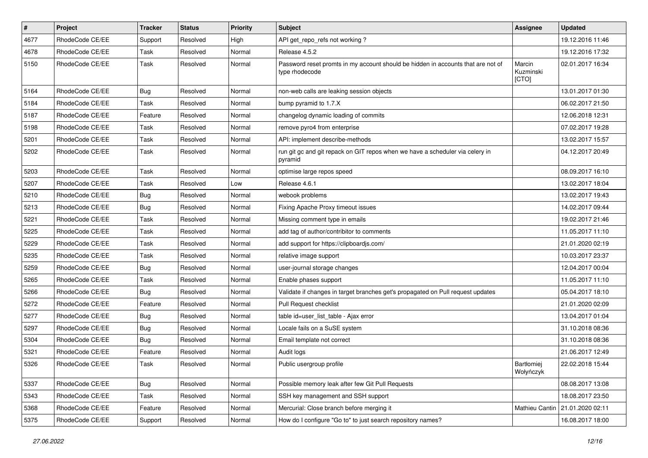| $\vert$ # | Project         | <b>Tracker</b> | <b>Status</b> | <b>Priority</b> | <b>Subject</b>                                                                                     | Assignee                     | <b>Updated</b>   |
|-----------|-----------------|----------------|---------------|-----------------|----------------------------------------------------------------------------------------------------|------------------------------|------------------|
| 4677      | RhodeCode CE/EE | Support        | Resolved      | High            | API get repo refs not working?                                                                     |                              | 19.12.2016 11:46 |
| 4678      | RhodeCode CE/EE | Task           | Resolved      | Normal          | Release 4.5.2                                                                                      |                              | 19.12.2016 17:32 |
| 5150      | RhodeCode CE/EE | Task           | Resolved      | Normal          | Password reset promts in my account should be hidden in accounts that are not of<br>type rhodecode | Marcin<br>Kuzminski<br>[CTO] | 02.01.2017 16:34 |
| 5164      | RhodeCode CE/EE | Bug            | Resolved      | Normal          | non-web calls are leaking session objects                                                          |                              | 13.01.2017 01:30 |
| 5184      | RhodeCode CE/EE | Task           | Resolved      | Normal          | bump pyramid to 1.7.X                                                                              |                              | 06.02.2017 21:50 |
| 5187      | RhodeCode CE/EE | Feature        | Resolved      | Normal          | changelog dynamic loading of commits                                                               |                              | 12.06.2018 12:31 |
| 5198      | RhodeCode CE/EE | Task           | Resolved      | Normal          | remove pyro4 from enterprise                                                                       |                              | 07.02.2017 19:28 |
| 5201      | RhodeCode CE/EE | Task           | Resolved      | Normal          | API: implement describe-methods                                                                    |                              | 13.02.2017 15:57 |
| 5202      | RhodeCode CE/EE | Task           | Resolved      | Normal          | run git gc and git repack on GIT repos when we have a scheduler via celery in<br>pyramid           |                              | 04.12.2017 20:49 |
| 5203      | RhodeCode CE/EE | Task           | Resolved      | Normal          | optimise large repos speed                                                                         |                              | 08.09.2017 16:10 |
| 5207      | RhodeCode CE/EE | Task           | Resolved      | Low             | Release 4.6.1                                                                                      |                              | 13.02.2017 18:04 |
| 5210      | RhodeCode CE/EE | Bug            | Resolved      | Normal          | webook problems                                                                                    |                              | 13.02.2017 19:43 |
| 5213      | RhodeCode CE/EE | Bug            | Resolved      | Normal          | Fixing Apache Proxy timeout issues                                                                 |                              | 14.02.2017 09:44 |
| 5221      | RhodeCode CE/EE | Task           | Resolved      | Normal          | Missing comment type in emails                                                                     |                              | 19.02.2017 21:46 |
| 5225      | RhodeCode CE/EE | Task           | Resolved      | Normal          | add tag of author/contribitor to comments                                                          |                              | 11.05.2017 11:10 |
| 5229      | RhodeCode CE/EE | Task           | Resolved      | Normal          | add support for https://clipboardjs.com/                                                           |                              | 21.01.2020 02:19 |
| 5235      | RhodeCode CE/EE | Task           | Resolved      | Normal          | relative image support                                                                             |                              | 10.03.2017 23:37 |
| 5259      | RhodeCode CE/EE | Bug            | Resolved      | Normal          | user-journal storage changes                                                                       |                              | 12.04.2017 00:04 |
| 5265      | RhodeCode CE/EE | Task           | Resolved      | Normal          | Enable phases support                                                                              |                              | 11.05.2017 11:10 |
| 5266      | RhodeCode CE/EE | Bug            | Resolved      | Normal          | Validate if changes in target branches get's propagated on Pull request updates                    |                              | 05.04.2017 18:10 |
| 5272      | RhodeCode CE/EE | Feature        | Resolved      | Normal          | Pull Request checklist                                                                             |                              | 21.01.2020 02:09 |
| 5277      | RhodeCode CE/EE | Bug            | Resolved      | Normal          | table id=user_list_table - Ajax error                                                              |                              | 13.04.2017 01:04 |
| 5297      | RhodeCode CE/EE | <b>Bug</b>     | Resolved      | Normal          | Locale fails on a SuSE system                                                                      |                              | 31.10.2018 08:36 |
| 5304      | RhodeCode CE/EE | Bug            | Resolved      | Normal          | Email template not correct                                                                         |                              | 31.10.2018 08:36 |
| 5321      | RhodeCode CE/EE | Feature        | Resolved      | Normal          | Audit logs                                                                                         |                              | 21.06.2017 12:49 |
| 5326      | RhodeCode CE/EE | Task           | Resolved      | Normal          | Public usergroup profile                                                                           | Bartłomiej<br>Wołyńczyk      | 22.02.2018 15:44 |
| 5337      | RhodeCode CE/EE | Bug            | Resolved      | Normal          | Possible memory leak after few Git Pull Requests                                                   |                              | 08.08.2017 13:08 |
| 5343      | RhodeCode CE/EE | Task           | Resolved      | Normal          | SSH key management and SSH support                                                                 |                              | 18.08.2017 23:50 |
| 5368      | RhodeCode CE/EE | Feature        | Resolved      | Normal          | Mercurial: Close branch before merging it                                                          | Mathieu Cantin               | 21.01.2020 02:11 |
| 5375      | RhodeCode CE/EE | Support        | Resolved      | Normal          | How do I configure "Go to" to just search repository names?                                        |                              | 16.08.2017 18:00 |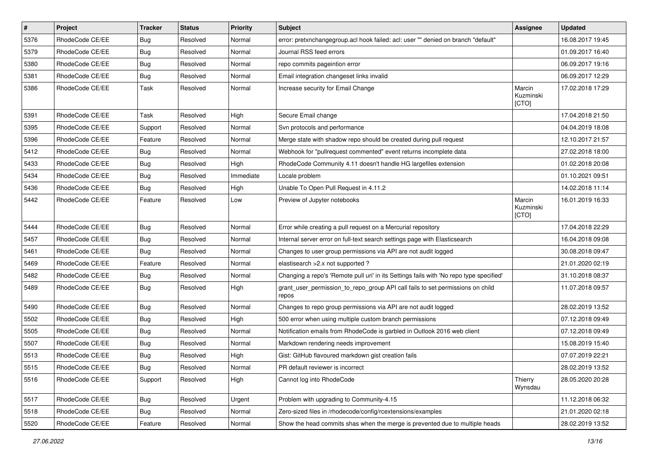| $\pmb{\#}$ | Project         | <b>Tracker</b> | <b>Status</b> | Priority  | <b>Subject</b>                                                                          | <b>Assignee</b>              | <b>Updated</b>   |
|------------|-----------------|----------------|---------------|-----------|-----------------------------------------------------------------------------------------|------------------------------|------------------|
| 5376       | RhodeCode CE/EE | Bug            | Resolved      | Normal    | error: pretxnchangegroup.acl hook failed: acl: user "" denied on branch "default"       |                              | 16.08.2017 19:45 |
| 5379       | RhodeCode CE/EE | Bug            | Resolved      | Normal    | Journal RSS feed errors                                                                 |                              | 01.09.2017 16:40 |
| 5380       | RhodeCode CE/EE | Bug            | Resolved      | Normal    | repo commits pageintion error                                                           |                              | 06.09.2017 19:16 |
| 5381       | RhodeCode CE/EE | Bug            | Resolved      | Normal    | Email integration changeset links invalid                                               |                              | 06.09.2017 12:29 |
| 5386       | RhodeCode CE/EE | Task           | Resolved      | Normal    | Increase security for Email Change                                                      | Marcin<br>Kuzminski<br>[CTO] | 17.02.2018 17:29 |
| 5391       | RhodeCode CE/EE | Task           | Resolved      | High      | Secure Email change                                                                     |                              | 17.04.2018 21:50 |
| 5395       | RhodeCode CE/EE | Support        | Resolved      | Normal    | Svn protocols and performance                                                           |                              | 04.04.2019 18:08 |
| 5396       | RhodeCode CE/EE | Feature        | Resolved      | Normal    | Merge state with shadow repo should be created during pull request                      |                              | 12.10.2017 21:57 |
| 5412       | RhodeCode CE/EE | Bug            | Resolved      | Normal    | Webhook for "pullrequest commented" event returns incomplete data                       |                              | 27.02.2018 18:00 |
| 5433       | RhodeCode CE/EE | Bug            | Resolved      | High      | RhodeCode Community 4.11 doesn't handle HG largefiles extension                         |                              | 01.02.2018 20:08 |
| 5434       | RhodeCode CE/EE | Bug            | Resolved      | Immediate | Locale problem                                                                          |                              | 01.10.2021 09:51 |
| 5436       | RhodeCode CE/EE | Bug            | Resolved      | High      | Unable To Open Pull Request in 4.11.2                                                   |                              | 14.02.2018 11:14 |
| 5442       | RhodeCode CE/EE | Feature        | Resolved      | Low       | Preview of Jupyter notebooks                                                            | Marcin<br>Kuzminski<br>[CTO] | 16.01.2019 16:33 |
| 5444       | RhodeCode CE/EE | Bug            | Resolved      | Normal    | Error while creating a pull request on a Mercurial repository                           |                              | 17.04.2018 22:29 |
| 5457       | RhodeCode CE/EE | Bug            | Resolved      | Normal    | Internal server error on full-text search settings page with Elasticsearch              |                              | 16.04.2018 09:08 |
| 5461       | RhodeCode CE/EE | Bug            | Resolved      | Normal    | Changes to user group permissions via API are not audit logged                          |                              | 30.08.2018 09:47 |
| 5469       | RhodeCode CE/EE | Feature        | Resolved      | Normal    | elastisearch > 2.x not supported ?                                                      |                              | 21.01.2020 02:19 |
| 5482       | RhodeCode CE/EE | Bug            | Resolved      | Normal    | Changing a repo's 'Remote pull uri' in its Settings fails with 'No repo type specified' |                              | 31.10.2018 08:37 |
| 5489       | RhodeCode CE/EE | Bug            | Resolved      | High      | grant_user_permission_to_repo_group API call fails to set permissions on child<br>repos |                              | 11.07.2018 09:57 |
| 5490       | RhodeCode CE/EE | Bug            | Resolved      | Normal    | Changes to repo group permissions via API are not audit logged                          |                              | 28.02.2019 13:52 |
| 5502       | RhodeCode CE/EE | Bug            | Resolved      | High      | 500 error when using multiple custom branch permissions                                 |                              | 07.12.2018 09:49 |
| 5505       | RhodeCode CE/EE | <b>Bug</b>     | Resolved      | Normal    | Notification emails from RhodeCode is garbled in Outlook 2016 web client                |                              | 07.12.2018 09:49 |
| 5507       | RhodeCode CE/EE | <b>Bug</b>     | Resolved      | Normal    | Markdown rendering needs improvement                                                    |                              | 15.08.2019 15:40 |
| 5513       | RhodeCode CE/EE | Bug            | Resolved      | High      | Gist: GitHub flavoured markdown gist creation fails                                     |                              | 07.07.2019 22:21 |
| 5515       | RhodeCode CE/EE | Bug            | Resolved      | Normal    | PR default reviewer is incorrect                                                        |                              | 28.02.2019 13:52 |
| 5516       | RhodeCode CE/EE | Support        | Resolved      | High      | Cannot log into RhodeCode                                                               | Thierry<br>Wynsdau           | 28.05.2020 20:28 |
| 5517       | RhodeCode CE/EE | Bug            | Resolved      | Urgent    | Problem with upgrading to Community-4.15                                                |                              | 11.12.2018 06:32 |
| 5518       | RhodeCode CE/EE | Bug            | Resolved      | Normal    | Zero-sized files in /rhodecode/config/rcextensions/examples                             |                              | 21.01.2020 02:18 |
| 5520       | RhodeCode CE/EE | Feature        | Resolved      | Normal    | Show the head commits shas when the merge is prevented due to multiple heads            |                              | 28.02.2019 13:52 |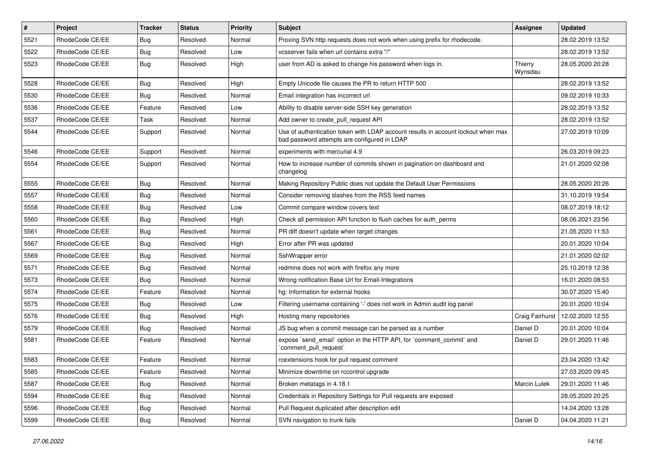| $\pmb{\#}$ | <b>Project</b>  | <b>Tracker</b> | <b>Status</b> | <b>Priority</b> | <b>Subject</b>                                                                                                                    | <b>Assignee</b>    | <b>Updated</b>   |
|------------|-----------------|----------------|---------------|-----------------|-----------------------------------------------------------------------------------------------------------------------------------|--------------------|------------------|
| 5521       | RhodeCode CE/EE | Bug            | Resolved      | Normal          | Proxing SVN http requests does not work when using prefix for rhodecode.                                                          |                    | 28.02.2019 13:52 |
| 5522       | RhodeCode CE/EE | Bug            | Resolved      | Low             | vcsserver fails when url contains extra "/"                                                                                       |                    | 28.02.2019 13:52 |
| 5523       | RhodeCode CE/EE | Bug            | Resolved      | High            | user from AD is asked to change his password when logs in.                                                                        | Thierry<br>Wynsdau | 28.05.2020 20:28 |
| 5528       | RhodeCode CE/EE | Bug            | Resolved      | High            | Empty Unicode file causes the PR to return HTTP 500                                                                               |                    | 28.02.2019 13:52 |
| 5530       | RhodeCode CE/EE | Bug            | Resolved      | Normal          | Email integration has incorrect url                                                                                               |                    | 09.02.2019 10:33 |
| 5536       | RhodeCode CE/EE | Feature        | Resolved      | Low             | Ability to disable server-side SSH key generation                                                                                 |                    | 28.02.2019 13:52 |
| 5537       | RhodeCode CE/EE | Task           | Resolved      | Normal          | Add owner to create pull request API                                                                                              |                    | 28.02.2019 13:52 |
| 5544       | RhodeCode CE/EE | Support        | Resolved      | Normal          | Use of authentication token with LDAP account results in account lockout when max<br>bad password attempts are configured in LDAP |                    | 27.02.2019 10:09 |
| 5546       | RhodeCode CE/EE | Support        | Resolved      | Normal          | experiments with mercurial 4.9                                                                                                    |                    | 26.03.2019 09:23 |
| 5554       | RhodeCode CE/EE | Support        | Resolved      | Normal          | How to increase number of commits shown in pagination on dashboard and<br>changelog                                               |                    | 21.01.2020 02:08 |
| 5555       | RhodeCode CE/EE | Bug            | Resolved      | Normal          | Making Repository Public does not update the Default User Permissions                                                             |                    | 28.05.2020 20:26 |
| 5557       | RhodeCode CE/EE | Bug            | Resolved      | Normal          | Consider removing slashes from the RSS feed names                                                                                 |                    | 31.10.2019 19:54 |
| 5558       | RhodeCode CE/EE | Bug            | Resolved      | Low             | Commit compare window covers text                                                                                                 |                    | 08.07.2019 18:12 |
| 5560       | RhodeCode CE/EE | <b>Bug</b>     | Resolved      | High            | Check all permission API function to flush caches for auth perms                                                                  |                    | 08.06.2021 23:56 |
| 5561       | RhodeCode CE/EE | <b>Bug</b>     | Resolved      | Normal          | PR diff doesn't update when target changes                                                                                        |                    | 21.05.2020 11:53 |
| 5567       | RhodeCode CE/EE | Bug            | Resolved      | High            | Error after PR was updated                                                                                                        |                    | 20.01.2020 10:04 |
| 5569       | RhodeCode CE/EE | Bug            | Resolved      | Normal          | SshWrapper error                                                                                                                  |                    | 21.01.2020 02:02 |
| 5571       | RhodeCode CE/EE | Bug            | Resolved      | Normal          | redmine does not work with firefox any more                                                                                       |                    | 25.10.2019 12:38 |
| 5573       | RhodeCode CE/EE | <b>Bug</b>     | Resolved      | Normal          | Wrong notification Base Url for Email-Integrations                                                                                |                    | 16.01.2020 08:53 |
| 5574       | RhodeCode CE/EE | Feature        | Resolved      | Normal          | hg: Information for external hooks                                                                                                |                    | 30.07.2020 15:40 |
| 5575       | RhodeCode CE/EE | Bug            | Resolved      | Low             | Filtering username containing '-' does not work in Admin audit log panel                                                          |                    | 20.01.2020 10:04 |
| 5576       | RhodeCode CE/EE | <b>Bug</b>     | Resolved      | High            | Hosting many repositories                                                                                                         | Craig Fairhurst    | 12.02.2020 12:55 |
| 5579       | RhodeCode CE/EE | Bug            | Resolved      | Normal          | JS bug when a commit message can be parsed as a number                                                                            | Daniel D           | 20.01.2020 10:04 |
| 5581       | RhodeCode CE/EE | Feature        | Resolved      | Normal          | expose `send_email` option in the HTTP API, for `comment_commit` and<br>`comment_pull_request`                                    | Daniel D           | 29.01.2020 11:46 |
| 5583       | RhodeCode CE/EE | Feature        | Resolved      | Normal          | rcextensions hook for pull request comment                                                                                        |                    | 23.04.2020 13:42 |
| 5585       | RhodeCode CE/EE | Feature        | Resolved      | Normal          | Minimize downtime on rccontrol upgrade                                                                                            |                    | 27.03.2020 09:45 |
| 5587       | RhodeCode CE/EE | Bug            | Resolved      | Normal          | Broken metatags in 4.18.1                                                                                                         | Marcin Lulek       | 29.01.2020 11:46 |
| 5594       | RhodeCode CE/EE | <b>Bug</b>     | Resolved      | Normal          | Credentials in Repository Settings for Pull requests are exposed                                                                  |                    | 28.05.2020 20:25 |
| 5596       | RhodeCode CE/EE | <b>Bug</b>     | Resolved      | Normal          | Pull Request duplicated after description edit                                                                                    |                    | 14.04.2020 13:28 |
| 5599       | RhodeCode CE/EE | <b>Bug</b>     | Resolved      | Normal          | SVN navigation to trunk fails                                                                                                     | Daniel D           | 04.04.2020 11:21 |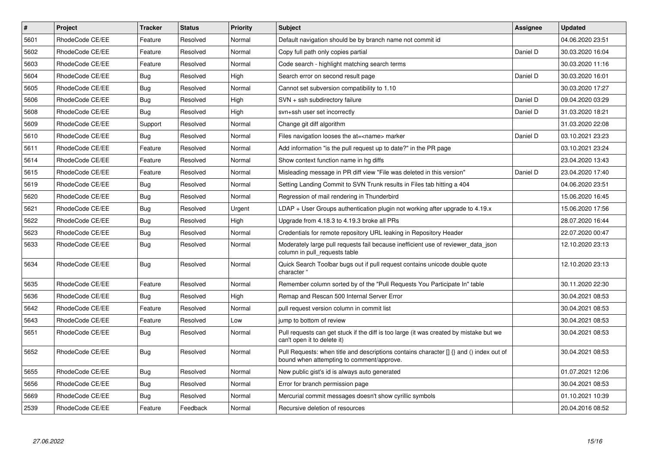| $\pmb{\#}$ | <b>Project</b>  | <b>Tracker</b> | <b>Status</b> | <b>Priority</b> | <b>Subject</b>                                                                                                                       | <b>Assignee</b> | <b>Updated</b>   |
|------------|-----------------|----------------|---------------|-----------------|--------------------------------------------------------------------------------------------------------------------------------------|-----------------|------------------|
| 5601       | RhodeCode CE/EE | Feature        | Resolved      | Normal          | Default navigation should be by branch name not commit id                                                                            |                 | 04.06.2020 23:51 |
| 5602       | RhodeCode CE/EE | Feature        | Resolved      | Normal          | Copy full path only copies partial                                                                                                   | Daniel D        | 30.03.2020 16:04 |
| 5603       | RhodeCode CE/EE | Feature        | Resolved      | Normal          | Code search - highlight matching search terms                                                                                        |                 | 30.03.2020 11:16 |
| 5604       | RhodeCode CE/EE | <b>Bug</b>     | Resolved      | High            | Search error on second result page                                                                                                   | Daniel D        | 30.03.2020 16:01 |
| 5605       | RhodeCode CE/EE | Bug            | Resolved      | Normal          | Cannot set subversion compatibility to 1.10                                                                                          |                 | 30.03.2020 17:27 |
| 5606       | RhodeCode CE/EE | Bug            | Resolved      | High            | SVN + ssh subdirectory failure                                                                                                       | Daniel D        | 09.04.2020 03:29 |
| 5608       | RhodeCode CE/EE | <b>Bug</b>     | Resolved      | High            | svn+ssh user set incorrectly                                                                                                         | Daniel D        | 31.03.2020 18:21 |
| 5609       | RhodeCode CE/EE | Support        | Resolved      | Normal          | Change git diff algorithm                                                                                                            |                 | 31.03.2020 22:08 |
| 5610       | RhodeCode CE/EE | <b>Bug</b>     | Resolved      | Normal          | Files navigation looses the at= <name> marker</name>                                                                                 | Daniel D        | 03.10.2021 23:23 |
| 5611       | RhodeCode CE/EE | Feature        | Resolved      | Normal          | Add information "is the pull request up to date?" in the PR page                                                                     |                 | 03.10.2021 23:24 |
| 5614       | RhodeCode CE/EE | Feature        | Resolved      | Normal          | Show context function name in hg diffs                                                                                               |                 | 23.04.2020 13:43 |
| 5615       | RhodeCode CE/EE | Feature        | Resolved      | Normal          | Misleading message in PR diff view "File was deleted in this version"                                                                | Daniel D        | 23.04.2020 17:40 |
| 5619       | RhodeCode CE/EE | Bug            | Resolved      | Normal          | Setting Landing Commit to SVN Trunk results in Files tab hitting a 404                                                               |                 | 04.06.2020 23:51 |
| 5620       | RhodeCode CE/EE | <b>Bug</b>     | Resolved      | Normal          | Regression of mail rendering in Thunderbird                                                                                          |                 | 15.06.2020 16:45 |
| 5621       | RhodeCode CE/EE | Bug            | Resolved      | Urgent          | $LDAP + User Groups$ authentication plugin not working after upgrade to 4.19. $x$                                                    |                 | 15.06.2020 17:56 |
| 5622       | RhodeCode CE/EE | Bug            | Resolved      | High            | Upgrade from 4.18.3 to 4.19.3 broke all PRs                                                                                          |                 | 28.07.2020 16:44 |
| 5623       | RhodeCode CE/EE | Bug            | Resolved      | Normal          | Credentials for remote repository URL leaking in Repository Header                                                                   |                 | 22.07.2020 00:47 |
| 5633       | RhodeCode CE/EE | <b>Bug</b>     | Resolved      | Normal          | Moderately large pull requests fail because inefficient use of reviewer data json<br>column in pull requests table                   |                 | 12.10.2020 23:13 |
| 5634       | RhodeCode CE/EE | Bug            | Resolved      | Normal          | Quick Search Toolbar bugs out if pull request contains unicode double quote<br>character "                                           |                 | 12.10.2020 23:13 |
| 5635       | RhodeCode CE/EE | Feature        | Resolved      | Normal          | Remember column sorted by of the "Pull Requests You Participate In" table                                                            |                 | 30.11.2020 22:30 |
| 5636       | RhodeCode CE/EE | Bug            | Resolved      | High            | Remap and Rescan 500 Internal Server Error                                                                                           |                 | 30.04.2021 08:53 |
| 5642       | RhodeCode CE/EE | Feature        | Resolved      | Normal          | pull request version column in commit list                                                                                           |                 | 30.04.2021 08:53 |
| 5643       | RhodeCode CE/EE | Feature        | Resolved      | Low             | jump to bottom of review                                                                                                             |                 | 30.04.2021 08:53 |
| 5651       | RhodeCode CE/EE | <b>Bug</b>     | Resolved      | Normal          | Pull requests can get stuck if the diff is too large (it was created by mistake but we<br>can't open it to delete it)                |                 | 30.04.2021 08:53 |
| 5652       | RhodeCode CE/EE | <b>Bug</b>     | Resolved      | Normal          | Pull Requests: when title and descriptions contains character [] {} and () index out of<br>bound when attempting to comment/approve. |                 | 30.04.2021 08:53 |
| 5655       | RhodeCode CE/EE | Bug            | Resolved      | Normal          | New public gist's id is always auto generated                                                                                        |                 | 01.07.2021 12:06 |
| 5656       | RhodeCode CE/EE | <b>Bug</b>     | Resolved      | Normal          | Error for branch permission page                                                                                                     |                 | 30.04.2021 08:53 |
| 5669       | RhodeCode CE/EE | <b>Bug</b>     | Resolved      | Normal          | Mercurial commit messages doesn't show cyrillic symbols                                                                              |                 | 01.10.2021 10:39 |
| 2539       | RhodeCode CE/EE | Feature        | Feedback      | Normal          | Recursive deletion of resources                                                                                                      |                 | 20.04.2016 08:52 |